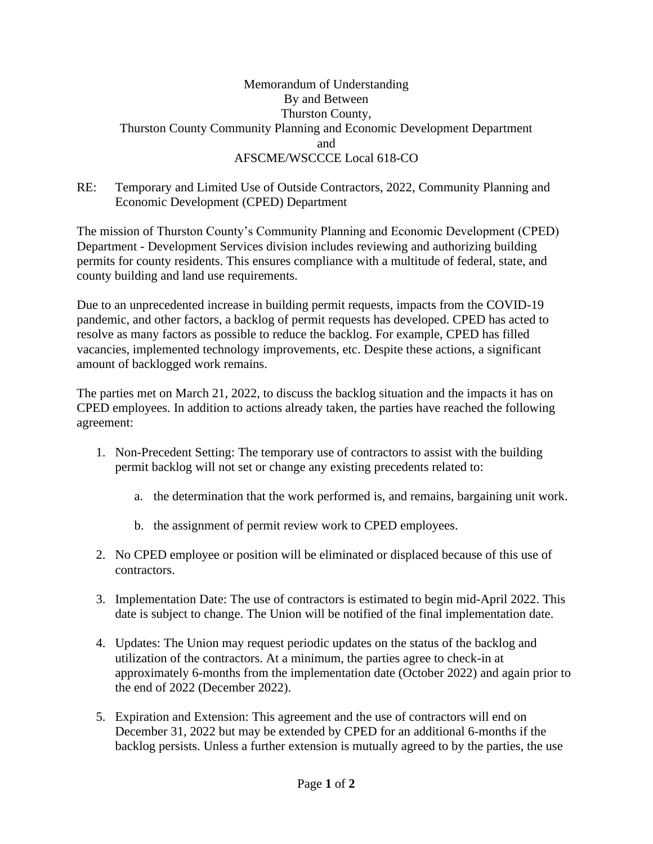## Memorandum of Understanding By and Between Thurston County, Thurston County Community Planning and Economic Development Department and AFSCME/WSCCCE Local 618-CO

## RE: Temporary and Limited Use of Outside Contractors, 2022, Community Planning and Economic Development (CPED) Department

The mission of Thurston County's Community Planning and Economic Development (CPED) Department - Development Services division includes reviewing and authorizing building permits for county residents. This ensures compliance with a multitude of federal, state, and county building and land use requirements.

Due to an unprecedented increase in building permit requests, impacts from the COVID-19 pandemic, and other factors, a backlog of permit requests has developed. CPED has acted to resolve as many factors as possible to reduce the backlog. For example, CPED has filled vacancies, implemented technology improvements, etc. Despite these actions, a significant amount of backlogged work remains.

The parties met on March 21, 2022, to discuss the backlog situation and the impacts it has on CPED employees. In addition to actions already taken, the parties have reached the following agreement:

- 1. Non-Precedent Setting: The temporary use of contractors to assist with the building permit backlog will not set or change any existing precedents related to:
	- a. the determination that the work performed is, and remains, bargaining unit work.
	- b. the assignment of permit review work to CPED employees.
- 2. No CPED employee or position will be eliminated or displaced because of this use of contractors.
- 3. Implementation Date: The use of contractors is estimated to begin mid-April 2022. This date is subject to change. The Union will be notified of the final implementation date.
- 4. Updates: The Union may request periodic updates on the status of the backlog and utilization of the contractors. At a minimum, the parties agree to check-in at approximately 6-months from the implementation date (October 2022) and again prior to the end of 2022 (December 2022).
- 5. Expiration and Extension: This agreement and the use of contractors will end on December 31, 2022 but may be extended by CPED for an additional 6-months if the backlog persists. Unless a further extension is mutually agreed to by the parties, the use